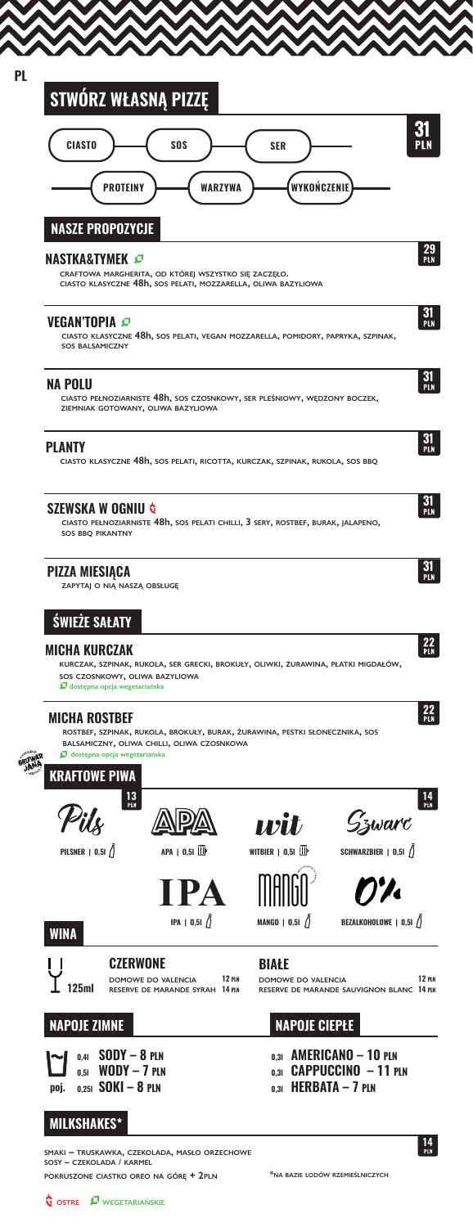| <b>CIASTO</b>                                                                   | sos                                                   | SER                                                                                                                                                                                                                                  |                                           |                    |
|---------------------------------------------------------------------------------|-------------------------------------------------------|--------------------------------------------------------------------------------------------------------------------------------------------------------------------------------------------------------------------------------------|-------------------------------------------|--------------------|
| <b>PROTEINY</b>                                                                 | <b>WARZYWA</b>                                        | WYKOŃCZENIE                                                                                                                                                                                                                          |                                           |                    |
| <b>NASZE PROPOZYCJE</b>                                                         |                                                       |                                                                                                                                                                                                                                      |                                           |                    |
| <b>NASTKA&amp;TYMEK</b>                                                         | CRAFTOWA MARGHERITA, OD KTÓREJ WSZYSTKO SIĘ ZACZĘŁO.  | CIASTO KLASYCZNE 48h, SOS PELATI, MOZZARELLA, OLIWA BAZYLIOWA                                                                                                                                                                        |                                           | $\frac{29}{P L N}$ |
| VEGAN'TOPIA <i>¤</i><br><b>SOS BALSAMICZNY</b>                                  |                                                       | ciasto klasyczne 48h, sos pelati, vegan mozzarella, pomidory, papryka, szpinak,                                                                                                                                                      |                                           | $\frac{31}{P}$     |
| <b>NA POLU</b><br>ZIEMNIAK GOTOWANY, OLIWA BAZYLIOWA                            |                                                       | CIASTO PEŁNOZIARNISTE 48h, SOS CZOSNKOWY, SER PLEŚNIOWY, WĘDZONY BOCZEK,                                                                                                                                                             |                                           | 31<br>Pln          |
| <b>PLANTY</b>                                                                   |                                                       | ciasto klasyczne 48h, sos pelati, ricotta, kurczak, szpinak, rukola, sos bbą                                                                                                                                                         |                                           | 31<br>PLN          |
| <b>SZEWSKA W OGNIU &amp;</b><br>SOS BBQ PIKANTNY                                |                                                       | CIASTO PEŁNOZIARNISTE 48h, SOS PELATI CHILLI, 3 SERY, ROSTBEF, BURAK, JALAPENO,                                                                                                                                                      |                                           | $\frac{31}{P}$     |
| <b>PIZZA MIESIĄCA</b><br>ZAPYTAJ O NIĄ NASZĄ OBSŁUGĘ                            |                                                       |                                                                                                                                                                                                                                      |                                           | 31<br>Pln          |
| <b>ŚWIEŻE SAŁATY</b>                                                            |                                                       |                                                                                                                                                                                                                                      |                                           |                    |
| MICHA KURCZAK<br>SOS CZOSNKOWY, OLIWA BAZYLIOWA<br>dostępna opcja wegetariańska |                                                       | KURCZAK, SZPINAK, RUKOLA, SER GRECKI, BROKUŁY, OLIWKI, ŻURAWINA, PŁATKI MIGDAŁÓW,                                                                                                                                                    |                                           | $\frac{22}{PLN}$   |
| <b>MICHA ROSTBEF</b><br>dostępna opcja wegetariańska<br><b>KRAFTOWE PIWA</b>    | BALSAMICZNY, OLIWA CHILLI, OLIWA CZOSNKOWA            | ROSTBEF, SZPINAK, RUKOLA, BROKUŁY, BURAK, ŻURAWINA, PESTKI SŁONECZNIKA, SOS                                                                                                                                                          |                                           | 22<br>PLN          |
| 13<br>Pln                                                                       |                                                       | anit kontroll and diggeri dage and diggeri dage terudi dage antium. Anna din dage antium diggeri dage antium d<br>Annual annual annual annual annual annual annual annual annual annual annual annual annual annual an diam diam<br> | Szwarc                                    | 14<br>Pln          |
| PILSNER   $0,51$ $\hat{\textbf{ }}$                                             | APA   0,51                                            | WITBIER $\parallel$ 0,51 $\parallel$                                                                                                                                                                                                 | SCHWARZBIER   0,51 /                      |                    |
|                                                                                 | <b>TPA</b>                                            |                                                                                                                                                                                                                                      |                                           |                    |
| <b>WINA</b>                                                                     | IPA   0,51 $\int$                                     | MANGO   0,51 $\binom{1}{2}$                                                                                                                                                                                                          | BEZALKOHOLOWE $\vert 0,5i \vert$          |                    |
| <b>CZERWONE</b><br>125ml                                                        | DOMOWE DO VALENCIA<br>RESERVE DE MARANDE SYRAH 14 PLN | BIAŁE<br><b>12 PLN</b><br>DOMOWE DO VALENCIA                                                                                                                                                                                         | RESERVE DE MARANDE SAUVIGNON BLANC 14 PLN | 12 PLN             |
| <b>NAPOJE ZIMNE</b>                                                             |                                                       | <b>NAPOJE CIEPŁE</b>                                                                                                                                                                                                                 |                                           |                    |
|                                                                                 |                                                       |                                                                                                                                                                                                                                      |                                           |                    |

**MILKSHAKES\***

**SMAKI – TRUSKAWKA, CZEKOLADA, MASŁO ORZECHOWE SOSY – CZEKOLADA / KARMEL**

**POKRUSZONE CIASTKO OREO NA GÓRĘ + 2PLN \*NA BAZIE LODÓW RZEMIEŚLNICZYCH**

**14**